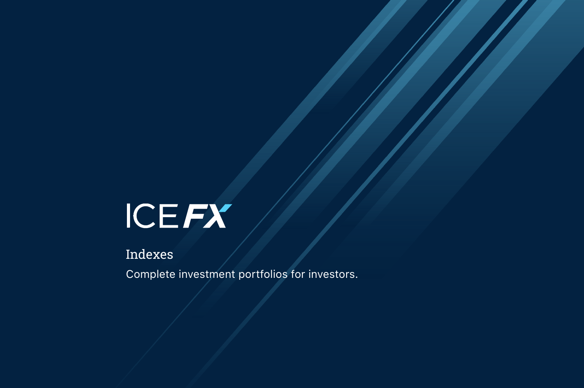Indexes



Complete investment portfolios for investors.

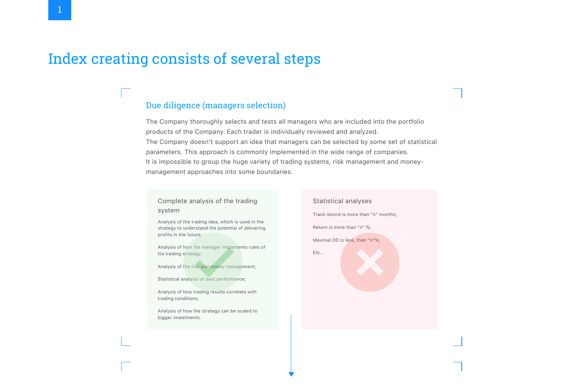# Index creating consists of several steps



Analysis of the trading idea, which is used in the strategy to understand the potential of delivering profits in the future;

### Complete analysis of the trading system

Analysis of how the manager implements rules of his trading strategy;

Analysis of the risk and money management;

Statistical analysis of past performance;

Analysis of how trading results correlate with trading conditions;

Analysis of how the strategy can be scaled to bigger investments.

Statistical analyses

Maximal DD is less, than "n"%;

Track record is more than "n" months;

Return is more than "n" %;

Etc…

The Company thoroughly selects and tests all managers who are included into the portfolio products of the Company. Each trader is individually reviewed and analyzed. The Company doesn't support an idea that managers can be selected by some set of statistical parameters. This approach is commonly implemented in the wide range of companies. It is impossible to group the huge variety of trading systems, risk management and moneymanagement approaches into some boundaries.

### Due diligence (managers selection)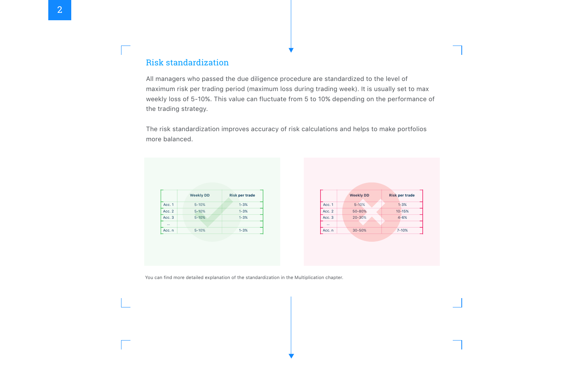All managers who passed the due diligence procedure are standardized to the level of maximum risk per trading period (maximum loss during trading week). It is usually set to max weekly loss of 5-10%. This value can fluctuate from 5 to 10% depending on the performance of the trading strategy.

The risk standardization improves accuracy of risk calculations and helps to make portfolios more balanced.



You can find more detailed explanation of the standardization in the Multiplication chapter.

## Risk standardization

|                         | <b>Weekly DD</b> | <b>Risk per trade</b> |
|-------------------------|------------------|-----------------------|
| Acc. 1                  | $5 - 10%$        | $1 - 3%$              |
| Acc. 2                  | $5 - 10%$        | $1 - 3%$              |
| Acc. 3                  | $5 - 10%$        | $1 - 3%$              |
| $\bullet\bullet\bullet$ |                  |                       |
| Acc. n                  | $5 - 10%$        | $1 - 3%$              |



| Acc.   |   |
|--------|---|
| Acc.   | 2 |
| Acc. 3 |   |
|        |   |
| Acc.r  |   |
|        |   |



## 2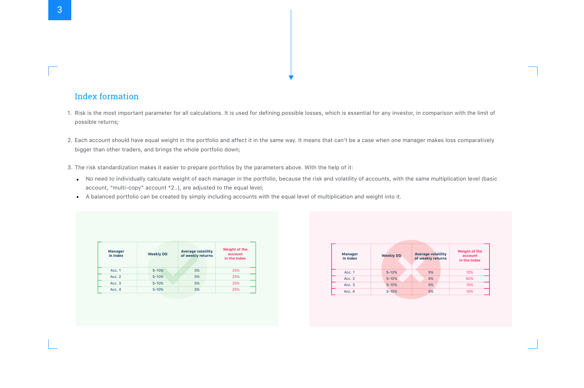- possible returns;
- bigger than other traders, and brings the whole portfolio down;
- -
	-

3. The risk standardization makes it easier to prepare portfolios by the parameters above. With the help of it: No need to individually calculate weight of each manager in the portfolio, because the risk and volatility of accounts, with the same multiplication level (basic account, "multi-copy" account \*2..), are adjusted to the equal level;

A balanced portfolio can be created by simply including accounts with the equal level of multiplication and weight into it.

### Index formation

| <b>Manager</b><br>in Index | <b>Weekly DD</b> | <b>Average volatility</b><br>of weekly returns | <b>Weight of the</b><br>account<br>in the Index |
|----------------------------|------------------|------------------------------------------------|-------------------------------------------------|
| Acc. 1                     | $5 - 10%$        | 5%                                             | 25%                                             |
| Acc. 2                     | $5 - 10%$        | 5%                                             | 25%                                             |
| Acc. 3                     | $5 - 10%$        | 5%                                             | 25%                                             |
| Acc. 4                     | $5 - 10%$        | 5%                                             | 25%                                             |

| <b>Manager</b><br>in Index | <b>Weekly DD</b> | <b>Average volatility</b><br>of weekly returns | <b>Weight of the</b><br>account<br>in the Index |
|----------------------------|------------------|------------------------------------------------|-------------------------------------------------|
| Acc. 1                     | $5 - 10%$        | 5%                                             | 10%                                             |
| Acc. 2                     | $5 - 10%$        | 5%                                             | 60%                                             |
| Acc. 3                     | $5 - 10%$        | 5%                                             | 15%                                             |
| Acc. 4                     | $5 - 10%$        | 5%                                             | 15%                                             |



1. Risk is the most important parameter for all calculations. It is used for defining possible losses, which is essential for any investor, in comparison with the limit of

2. Each account should have equal weight in the portfolio and affect it in the same way. It means that can't be a case when one manager makes loss comparatively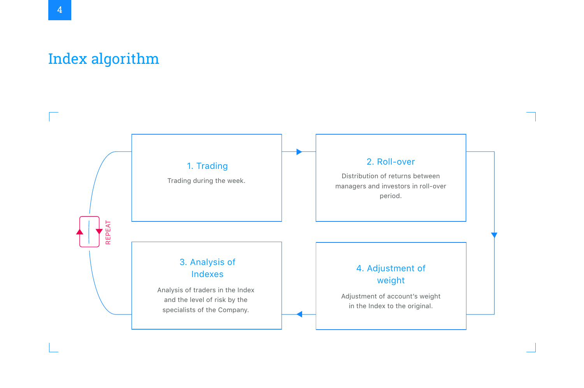# Index algorithm

## 1. Trading

Trading during the week.  $\begin{array}{ccc} & | & | & \text{Distribution of returns between} \end{array}$ managers and investors in roll-over period.

## 2. Roll-over

## 3. Analysis of Indexes

Analysis of traders in the Index and the level of risk by the specialists of the Company.



Adjustment of account's weight in the Index to the original.



## 4. Adjustment of weight

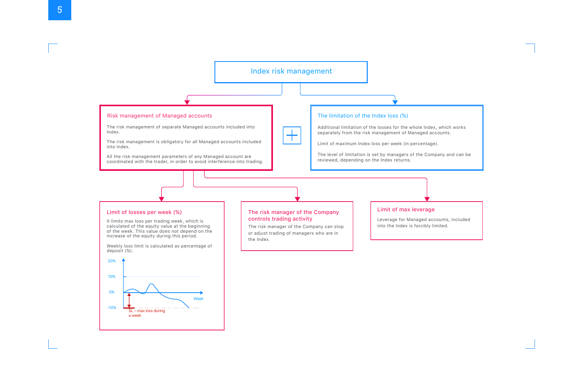### Risk management of Managed accounts

Index.

into Index.

### The limitation of the Index loss (%)

Additional limitation of the losses for the whole Index, which works separately from the risk management of Managed accounts.

Limit of maximum Index loss per week (in percentage).



| It |  |
|----|--|
|    |  |
|    |  |

The level of limitation is set by managers of the Company and can be reviewed, depending on the Index returns.

### Limit of losses per week (%)

It limits max loss per trading week, which is calculated of the equity value at the beginning of the week. This value does not depend on the increase of the equity during this period.

Weekly loss limit is calculated as percentage of deposit (%).



into the Index is forcibly limited.

### Limit of max leverage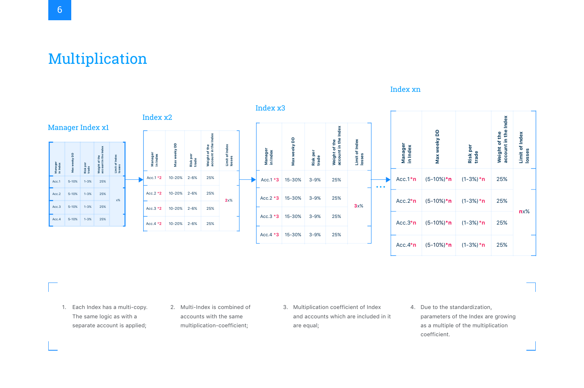# Multiplication

1. Each Index has a multi-copy. 2. Multi-Index is combined of The same logic as with a separate account is applied;

- accounts with the same multiplication-coefficient;
- are equal;

and accounts which are included in it

2. Multi-Index is combined of 3. Multiplication coefficient of Index 4. Due to the standardization, parameters of the Index are growing as a multiple of the multiplication coefficient. 4. Due to the standardization,

### Index **account in the Index Weight of the Limit of Index**  wepul the<br>I the **losses** Weight Limit 25% 25% **n**!% 25% 25%



### Index х3

### Index хn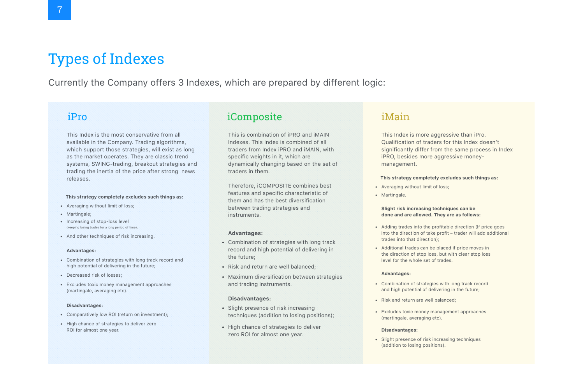# Types of Indexes

## Currently the Company offers 3 Indexes, which are prepared by different logic:

## iPro

This Index is the most conservative from all available in the Company. Trading algorithms, which support those strategies, will exist as long as the market operates. They are classic trend systems, SWING-trading, breakout strategies and trading the inertia of the price after strong news releases.

### **This strategy completely excludes such things as:**

- Averaging without limit of loss;
- Martingale;
- Increasing of stop-loss level (keeping losing trades for a long period of time);
- And other techniques of risk increasing.

- Comparatively low ROI (return on investment);
- High chance of strategies to deliver zero ROI for almost one year.

### **Advantages:**

- Combination of strategies with long track record and high potential of delivering in the future;
- Decreased risk of losses;
- Excludes toxic money management approaches (martingale, averaging etc).
- Combination of strategies with long track record and high potential of delivering the future;
- Risk and return are well balanced;
- Maximum diversification between strategies and trading instruments.

### **Disadvantages:**

- Slight presence of risk increasing techniques (addition to losing positions
- High chance of strategies to deliver zero ROI for almost one year.

### iComposite

This is combination of iPRO and iMAIN Indexes. This Index is combined of all traders from Index iPRO and iMAIN, with specific weights in it, which are dynamically changing based on the set traders in them.

Therefore, iCOMPOSITE combines best features and specific characteristic of them and has the best diversification between trading strategies and instruments.

### **Advantages:**

### **Disadvantages:**

|        | iMain                                                                                                                                                       |
|--------|-------------------------------------------------------------------------------------------------------------------------------------------------------------|
| th     | This Index is more aggressive than iPro.<br>Qualification of traders for this Index doesn't<br>significantly differ from the same process in I              |
| t of   | iPRO, besides more aggressive money-<br>management.                                                                                                         |
|        | This strategy completely excludes such things as:                                                                                                           |
|        | • Averaging without limit of loss;<br>• Martingale.                                                                                                         |
|        | Slight risk increasing techniques can be<br>done and are allowed. They are as follows:                                                                      |
| ck     | • Adding trades into the profitable direction (If price goe<br>into the direction of take profit – trader will add addition<br>trades into that direction); |
| in     | • Additional trades can be placed if price moves in<br>the direction of stop loss, but with clear stop loss<br>level for the whole set of trades.           |
|        | <b>Advantages:</b>                                                                                                                                          |
| egies  | • Combination of strategies with long track record<br>and high potential of delivering in the future;                                                       |
|        | • Risk and return are well balanced;                                                                                                                        |
| $s)$ ; | • Excludes toxic money management approaches<br>(martingale, averaging etc).                                                                                |
|        | <b>Disadvantages:</b>                                                                                                                                       |
|        | • Slight presence of risk increasing techniques<br>(addition to losing positions).                                                                          |
|        |                                                                                                                                                             |

# in Index

### ding the profit  $\mathfrak g$ Iditional